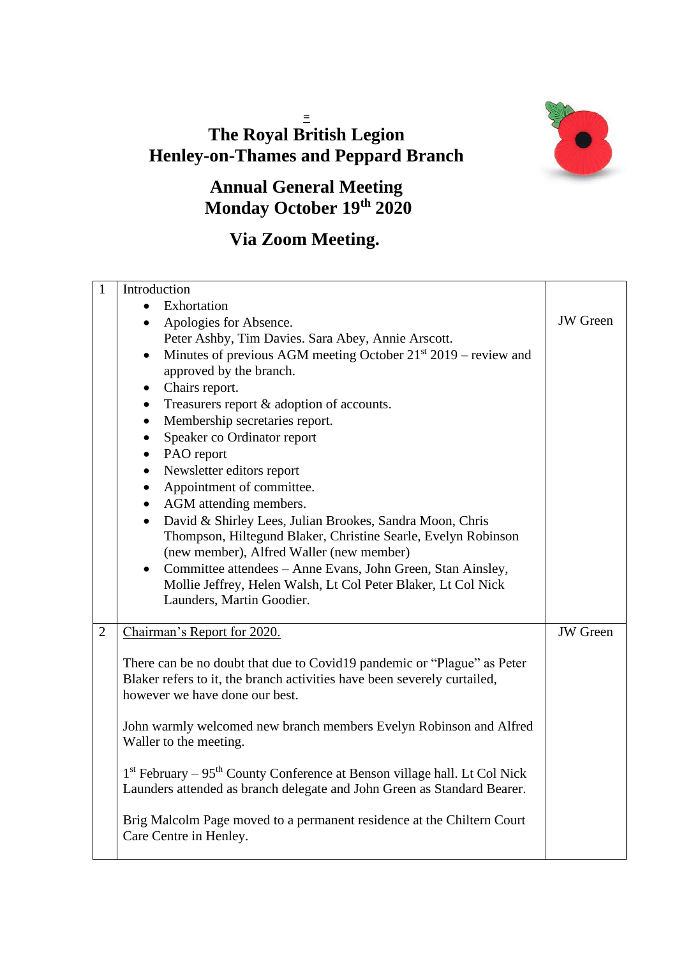## **= The Royal British Legion Henley-on-Thames and Peppard Branch**



## **Annual General Meeting Monday October 19th 2020**

## **Via Zoom Meeting.**

| $\mathbf{1}$   | Introduction                                                                            |                 |
|----------------|-----------------------------------------------------------------------------------------|-----------------|
|                | Exhortation                                                                             |                 |
|                | Apologies for Absence.<br>$\bullet$                                                     | <b>JW</b> Green |
|                | Peter Ashby, Tim Davies. Sara Abey, Annie Arscott.                                      |                 |
|                | Minutes of previous AGM meeting October 21 <sup>st</sup> 2019 – review and<br>$\bullet$ |                 |
|                | approved by the branch.                                                                 |                 |
|                | Chairs report.<br>$\bullet$                                                             |                 |
|                | Treasurers report & adoption of accounts.<br>$\bullet$                                  |                 |
|                | Membership secretaries report.<br>$\bullet$                                             |                 |
|                | Speaker co Ordinator report<br>$\bullet$                                                |                 |
|                | PAO report<br>$\bullet$                                                                 |                 |
|                | Newsletter editors report<br>$\bullet$                                                  |                 |
|                | Appointment of committee.<br>$\bullet$                                                  |                 |
|                | AGM attending members.<br>$\bullet$                                                     |                 |
|                | David & Shirley Lees, Julian Brookes, Sandra Moon, Chris<br>$\bullet$                   |                 |
|                | Thompson, Hiltegund Blaker, Christine Searle, Evelyn Robinson                           |                 |
|                | (new member), Alfred Waller (new member)                                                |                 |
|                | Committee attendees – Anne Evans, John Green, Stan Ainsley,<br>$\bullet$                |                 |
|                | Mollie Jeffrey, Helen Walsh, Lt Col Peter Blaker, Lt Col Nick                           |                 |
|                | Launders, Martin Goodier.                                                               |                 |
|                |                                                                                         |                 |
| $\overline{2}$ | Chairman's Report for 2020.                                                             | <b>JW</b> Green |
|                | There can be no doubt that due to Covid19 pandemic or "Plague" as Peter                 |                 |
|                | Blaker refers to it, the branch activities have been severely curtailed,                |                 |
|                | however we have done our best.                                                          |                 |
|                |                                                                                         |                 |
|                | John warmly welcomed new branch members Evelyn Robinson and Alfred                      |                 |
|                | Waller to the meeting.                                                                  |                 |
|                |                                                                                         |                 |
|                | 1st February - 95 <sup>th</sup> County Conference at Benson village hall. Lt Col Nick   |                 |
|                | Launders attended as branch delegate and John Green as Standard Bearer.                 |                 |
|                |                                                                                         |                 |
|                | Brig Malcolm Page moved to a permanent residence at the Chiltern Court                  |                 |
|                | Care Centre in Henley.                                                                  |                 |
|                |                                                                                         |                 |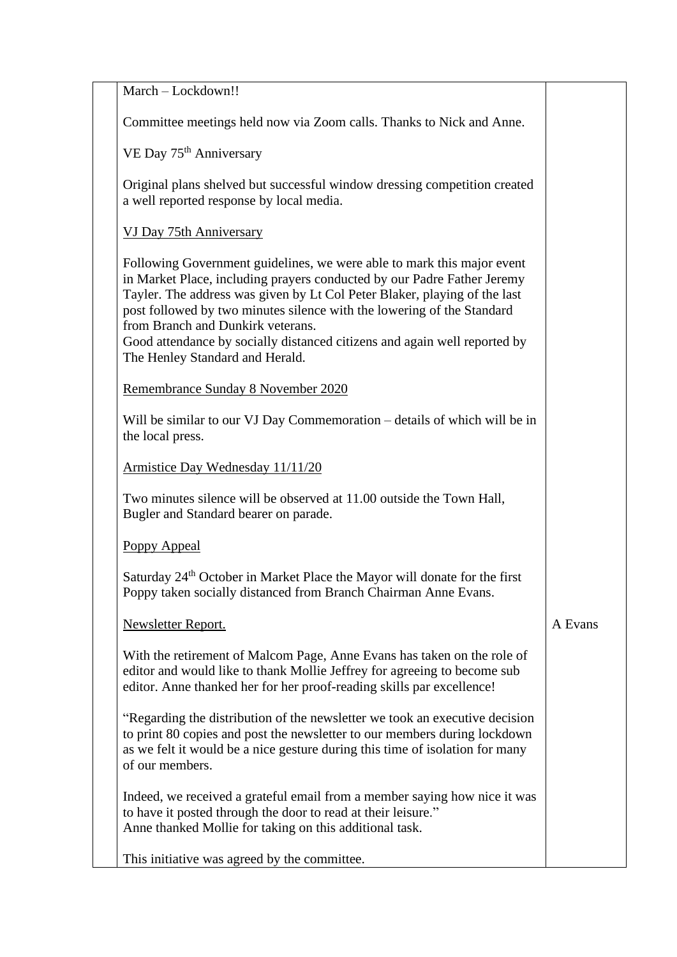| March - Lockdown!!                                                                                                                                                                                                                                                                                                                                                                                                                                            |         |
|---------------------------------------------------------------------------------------------------------------------------------------------------------------------------------------------------------------------------------------------------------------------------------------------------------------------------------------------------------------------------------------------------------------------------------------------------------------|---------|
| Committee meetings held now via Zoom calls. Thanks to Nick and Anne.                                                                                                                                                                                                                                                                                                                                                                                          |         |
| VE Day 75 <sup>th</sup> Anniversary                                                                                                                                                                                                                                                                                                                                                                                                                           |         |
| Original plans shelved but successful window dressing competition created<br>a well reported response by local media.                                                                                                                                                                                                                                                                                                                                         |         |
| VJ Day 75th Anniversary                                                                                                                                                                                                                                                                                                                                                                                                                                       |         |
| Following Government guidelines, we were able to mark this major event<br>in Market Place, including prayers conducted by our Padre Father Jeremy<br>Tayler. The address was given by Lt Col Peter Blaker, playing of the last<br>post followed by two minutes silence with the lowering of the Standard<br>from Branch and Dunkirk veterans.<br>Good attendance by socially distanced citizens and again well reported by<br>The Henley Standard and Herald. |         |
| Remembrance Sunday 8 November 2020                                                                                                                                                                                                                                                                                                                                                                                                                            |         |
| Will be similar to our VJ Day Commemoration – details of which will be in<br>the local press.                                                                                                                                                                                                                                                                                                                                                                 |         |
| Armistice Day Wednesday 11/11/20                                                                                                                                                                                                                                                                                                                                                                                                                              |         |
| Two minutes silence will be observed at 11.00 outside the Town Hall,<br>Bugler and Standard bearer on parade.                                                                                                                                                                                                                                                                                                                                                 |         |
| <b>Poppy Appeal</b>                                                                                                                                                                                                                                                                                                                                                                                                                                           |         |
| Saturday 24 <sup>th</sup> October in Market Place the Mayor will donate for the first<br>Poppy taken socially distanced from Branch Chairman Anne Evans.                                                                                                                                                                                                                                                                                                      |         |
| Newsletter Report.                                                                                                                                                                                                                                                                                                                                                                                                                                            | A Evans |
| With the retirement of Malcom Page, Anne Evans has taken on the role of<br>editor and would like to thank Mollie Jeffrey for agreeing to become sub<br>editor. Anne thanked her for her proof-reading skills par excellence!                                                                                                                                                                                                                                  |         |
| "Regarding the distribution of the newsletter we took an executive decision<br>to print 80 copies and post the newsletter to our members during lockdown<br>as we felt it would be a nice gesture during this time of isolation for many<br>of our members.                                                                                                                                                                                                   |         |
| Indeed, we received a grateful email from a member saying how nice it was<br>to have it posted through the door to read at their leisure."<br>Anne thanked Mollie for taking on this additional task.                                                                                                                                                                                                                                                         |         |
| This initiative was agreed by the committee.                                                                                                                                                                                                                                                                                                                                                                                                                  |         |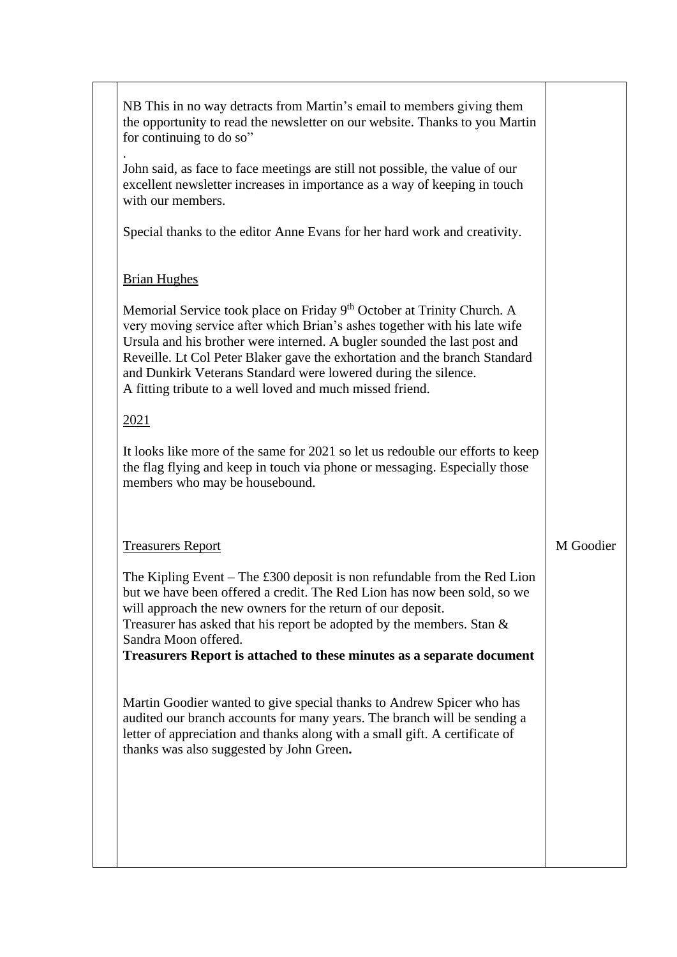| NB This in no way detracts from Martin's email to members giving them<br>the opportunity to read the newsletter on our website. Thanks to you Martin<br>for continuing to do so"                                                                                                                                                                                                                                                                         |           |
|----------------------------------------------------------------------------------------------------------------------------------------------------------------------------------------------------------------------------------------------------------------------------------------------------------------------------------------------------------------------------------------------------------------------------------------------------------|-----------|
| John said, as face to face meetings are still not possible, the value of our<br>excellent newsletter increases in importance as a way of keeping in touch<br>with our members.                                                                                                                                                                                                                                                                           |           |
| Special thanks to the editor Anne Evans for her hard work and creativity.                                                                                                                                                                                                                                                                                                                                                                                |           |
| <b>Brian Hughes</b>                                                                                                                                                                                                                                                                                                                                                                                                                                      |           |
| Memorial Service took place on Friday 9 <sup>th</sup> October at Trinity Church. A<br>very moving service after which Brian's ashes together with his late wife<br>Ursula and his brother were interned. A bugler sounded the last post and<br>Reveille. Lt Col Peter Blaker gave the exhortation and the branch Standard<br>and Dunkirk Veterans Standard were lowered during the silence.<br>A fitting tribute to a well loved and much missed friend. |           |
| 2021                                                                                                                                                                                                                                                                                                                                                                                                                                                     |           |
| It looks like more of the same for 2021 so let us redouble our efforts to keep<br>the flag flying and keep in touch via phone or messaging. Especially those<br>members who may be housebound.                                                                                                                                                                                                                                                           |           |
| <b>Treasurers Report</b>                                                                                                                                                                                                                                                                                                                                                                                                                                 | M Goodier |
| The Kipling Event – The $\pounds 300$ deposit is non refundable from the Red Lion<br>but we have been offered a credit. The Red Lion has now been sold, so we<br>will approach the new owners for the return of our deposit.<br>Treasurer has asked that his report be adopted by the members. Stan $\&$<br>Sandra Moon offered.<br>Treasurers Report is attached to these minutes as a separate document                                                |           |
| Martin Goodier wanted to give special thanks to Andrew Spicer who has<br>audited our branch accounts for many years. The branch will be sending a<br>letter of appreciation and thanks along with a small gift. A certificate of<br>thanks was also suggested by John Green.                                                                                                                                                                             |           |
|                                                                                                                                                                                                                                                                                                                                                                                                                                                          |           |
|                                                                                                                                                                                                                                                                                                                                                                                                                                                          |           |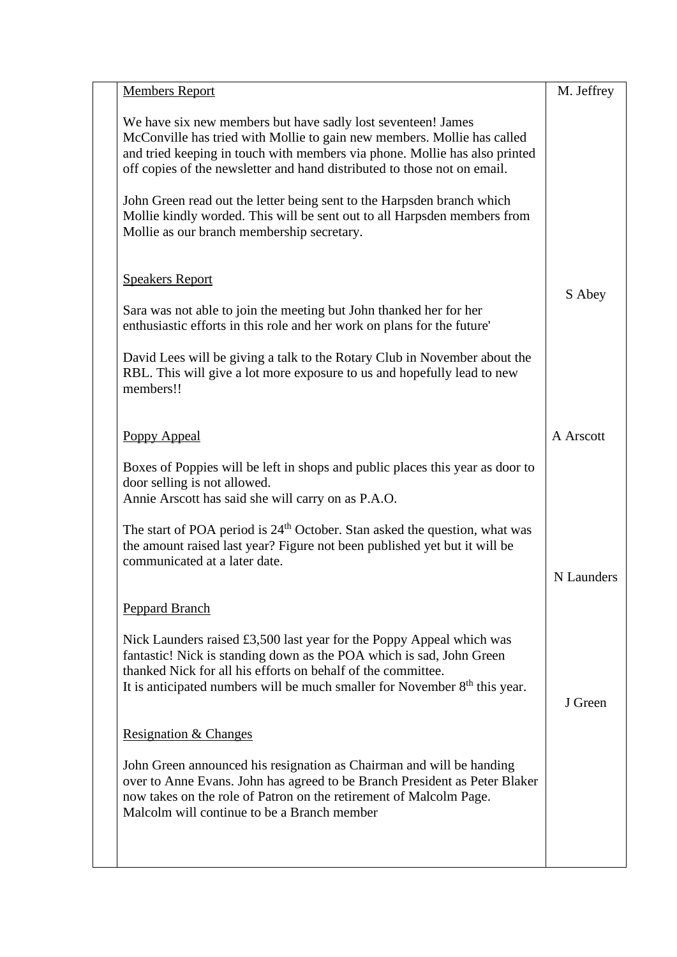| <b>Members Report</b>                                                                                                                                                                                                                                                                                | M. Jeffrey |
|------------------------------------------------------------------------------------------------------------------------------------------------------------------------------------------------------------------------------------------------------------------------------------------------------|------------|
| We have six new members but have sadly lost seventeen! James<br>McConville has tried with Mollie to gain new members. Mollie has called<br>and tried keeping in touch with members via phone. Mollie has also printed<br>off copies of the newsletter and hand distributed to those not on email.    |            |
| John Green read out the letter being sent to the Harpsden branch which<br>Mollie kindly worded. This will be sent out to all Harpsden members from<br>Mollie as our branch membership secretary.                                                                                                     |            |
| <b>Speakers Report</b>                                                                                                                                                                                                                                                                               | S Abey     |
| Sara was not able to join the meeting but John thanked her for her<br>enthusiastic efforts in this role and her work on plans for the future'                                                                                                                                                        |            |
| David Lees will be giving a talk to the Rotary Club in November about the<br>RBL. This will give a lot more exposure to us and hopefully lead to new<br>members!!                                                                                                                                    |            |
| <b>Poppy Appeal</b>                                                                                                                                                                                                                                                                                  | A Arscott  |
| Boxes of Poppies will be left in shops and public places this year as door to<br>door selling is not allowed.<br>Annie Arscott has said she will carry on as P.A.O.                                                                                                                                  |            |
| The start of POA period is 24 <sup>th</sup> October. Stan asked the question, what was<br>the amount raised last year? Figure not been published yet but it will be<br>communicated at a later date.                                                                                                 | N Launders |
| <b>Peppard Branch</b>                                                                                                                                                                                                                                                                                |            |
| Nick Launders raised $\pounds3,500$ last year for the Poppy Appeal which was<br>fantastic! Nick is standing down as the POA which is sad, John Green<br>thanked Nick for all his efforts on behalf of the committee.<br>It is anticipated numbers will be much smaller for November $8th$ this year. | J Green    |
| <b>Resignation &amp; Changes</b>                                                                                                                                                                                                                                                                     |            |
| John Green announced his resignation as Chairman and will be handing<br>over to Anne Evans. John has agreed to be Branch President as Peter Blaker<br>now takes on the role of Patron on the retirement of Malcolm Page.<br>Malcolm will continue to be a Branch member                              |            |
|                                                                                                                                                                                                                                                                                                      |            |